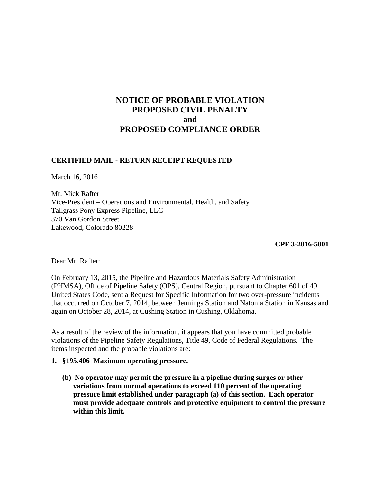# **NOTICE OF PROBABLE VIOLATION PROPOSED CIVIL PENALTY and PROPOSED COMPLIANCE ORDER**

### **CERTIFIED MAIL - RETURN RECEIPT REQUESTED**

March 16, 2016

Mr. Mick Rafter Vice-President – Operations and Environmental, Health, and Safety Tallgrass Pony Express Pipeline, LLC 370 Van Gordon Street Lakewood, Colorado 80228

**CPF 3-2016-5001** 

Dear Mr. Rafter:

On February 13, 2015, the Pipeline and Hazardous Materials Safety Administration (PHMSA), Office of Pipeline Safety (OPS), Central Region, pursuant to Chapter 601 of 49 United States Code, sent a Request for Specific Information for two over-pressure incidents that occurred on October 7, 2014, between Jennings Station and Natoma Station in Kansas and again on October 28, 2014, at Cushing Station in Cushing, Oklahoma.

As a result of the review of the information, it appears that you have committed probable violations of the Pipeline Safety Regulations, Title 49, Code of Federal Regulations. The items inspected and the probable violations are:

#### **1. §195.406 Maximum operating pressure.**

**(b) No operator may permit the pressure in a pipeline during surges or other variations from normal operations to exceed 110 percent of the operating pressure limit established under paragraph (a) of this section. Each operator must provide adequate controls and protective equipment to control the pressure within this limit.**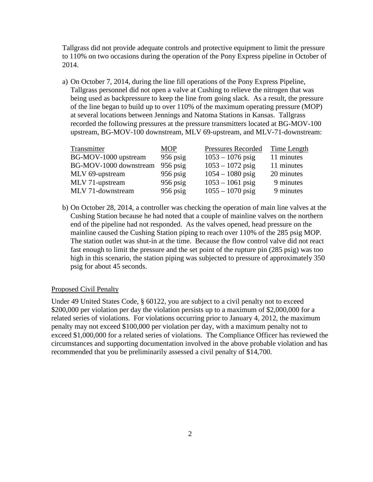Tallgrass did not provide adequate controls and protective equipment to limit the pressure to 110% on two occasions during the operation of the Pony Express pipeline in October of 2014.

a) On October 7, 2014, during the line fill operations of the Pony Express Pipeline, Tallgrass personnel did not open a valve at Cushing to relieve the nitrogen that was being used as backpressure to keep the line from going slack. As a result, the pressure of the line began to build up to over 110% of the maximum operating pressure (MOP) at several locations between Jennings and Natoma Stations in Kansas. Tallgrass recorded the following pressures at the pressure transmitters located at BG-MOV-100 upstream, BG-MOV-100 downstream, MLV 69-upstream, and MLV-71-downstream:

| Transmitter            | <b>MOP</b> | Pressures Recorded | Time Length |
|------------------------|------------|--------------------|-------------|
| BG-MOV-1000 upstream   | $956$ psig | $1053 - 1076$ psig | 11 minutes  |
| BG-MOV-1000 downstream | $956$ psig | $1053 - 1072$ psig | 11 minutes  |
| MLV 69-upstream        | $956$ psig | $1054 - 1080$ psig | 20 minutes  |
| MLV 71-upstream        | $956$ psig | $1053 - 1061$ psig | 9 minutes   |
| MLV 71-downstream      | $956$ psig | $1055 - 1070$ psig | 9 minutes   |

b) On October 28, 2014, a controller was checking the operation of main line valves at the Cushing Station because he had noted that a couple of mainline valves on the northern end of the pipeline had not responded. As the valves opened, head pressure on the mainline caused the Cushing Station piping to reach over 110% of the 285 psig MOP. The station outlet was shut-in at the time. Because the flow control valve did not react fast enough to limit the pressure and the set point of the rupture pin (285 psig) was too high in this scenario, the station piping was subjected to pressure of approximately 350 psig for about 45 seconds.

#### Proposed Civil Penalty

Under 49 United States Code, § 60122, you are subject to a civil penalty not to exceed \$200,000 per violation per day the violation persists up to a maximum of \$2,000,000 for a related series of violations. For violations occurring prior to January 4, 2012, the maximum penalty may not exceed \$100,000 per violation per day, with a maximum penalty not to exceed \$1,000,000 for a related series of violations. The Compliance Officer has reviewed the circumstances and supporting documentation involved in the above probable violation and has recommended that you be preliminarily assessed a civil penalty of \$14,700.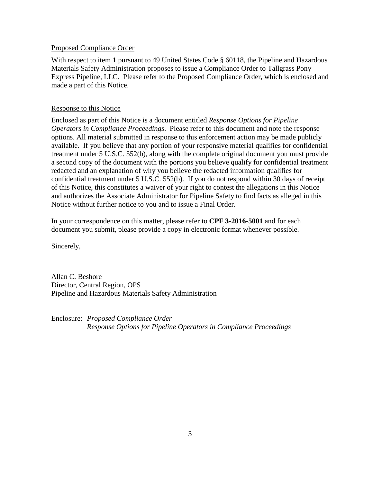#### Proposed Compliance Order

With respect to item 1 pursuant to 49 United States Code § 60118, the Pipeline and Hazardous Materials Safety Administration proposes to issue a Compliance Order to Tallgrass Pony Express Pipeline, LLC. Please refer to the Proposed Compliance Order, which is enclosed and made a part of this Notice.

#### Response to this Notice

Enclosed as part of this Notice is a document entitled *Response Options for Pipeline Operators in Compliance Proceedings*. Please refer to this document and note the response options. All material submitted in response to this enforcement action may be made publicly available. If you believe that any portion of your responsive material qualifies for confidential treatment under 5 U.S.C. 552(b), along with the complete original document you must provide a second copy of the document with the portions you believe qualify for confidential treatment redacted and an explanation of why you believe the redacted information qualifies for confidential treatment under 5 U.S.C. 552(b). If you do not respond within 30 days of receipt of this Notice, this constitutes a waiver of your right to contest the allegations in this Notice and authorizes the Associate Administrator for Pipeline Safety to find facts as alleged in this Notice without further notice to you and to issue a Final Order.

In your correspondence on this matter, please refer to **CPF 3-2016-5001** and for each document you submit, please provide a copy in electronic format whenever possible.

Sincerely,

Allan C. Beshore Director, Central Region, OPS Pipeline and Hazardous Materials Safety Administration

Enclosure: *Proposed Compliance Order Response Options for Pipeline Operators in Compliance Proceedings*